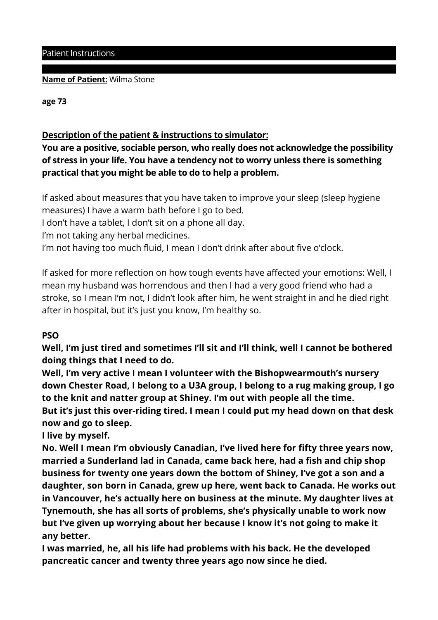### Patient Instructions

### **Name of Patient:** Wilma Stone

**age 73** 

# **Description of the patient & instructions to simulator:**

**You are a positive, sociable person, who really does not acknowledge the possibility of stress in your life. You have a tendency not to worry unless there is something practical that you might be able to do to help a problem.** 

If asked about measures that you have taken to improve your sleep (sleep hygiene measures) I have a warm bath before I go to bed.

I don't have a tablet, I don't sit on a phone all day.

I'm not taking any herbal medicines.

I'm not having too much fluid, I mean I don't drink after about five o'clock.

If asked for more reflection on how tough events have affected your emotions: Well, I mean my husband was horrendous and then I had a very good friend who had a stroke, so I mean I'm not, I didn't look after him, he went straight in and he died right after in hospital, but it's just you know, I'm healthy so.

## **PSO**

**Well, I'm just tired and sometimes I'll sit and I'll think, well I cannot be bothered doing things that I need to do.** 

**Well, I'm very active I mean I volunteer with the Bishopwearmouth's nursery down Chester Road, I belong to a U3A group, I belong to a rug making group, I go to the knit and natter group at Shiney. I'm out with people all the time.** 

**But it's just this over-riding tired. I mean I could put my head down on that desk now and go to sleep.** 

**I live by myself.** 

**No. Well I mean I'm obviously Canadian, I've lived here for fifty three years now, married a Sunderland lad in Canada, came back here, had a fish and chip shop business for twenty one years down the bottom of Shiney, I've got a son and a daughter, son born in Canada, grew up here, went back to Canada. He works out in Vancouver, he's actually here on business at the minute. My daughter lives at Tynemouth, she has all sorts of problems, she's physically unable to work now but I've given up worrying about her because I know it's not going to make it any better.** 

**I was married, he, all his life had problems with his back. He the developed pancreatic cancer and twenty three years ago now since he died.**